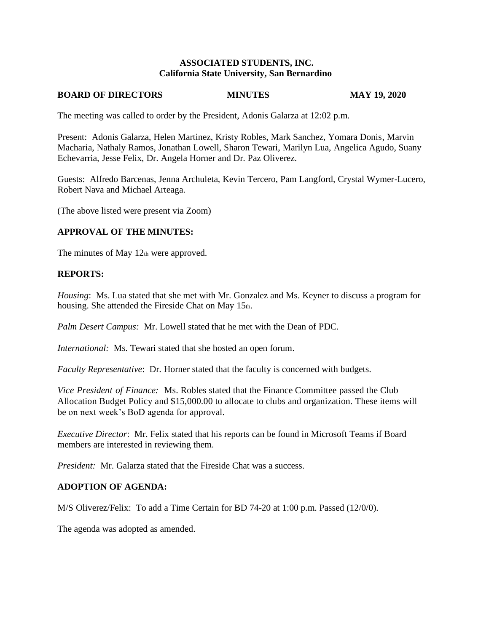### **ASSOCIATED STUDENTS, INC. California State University, San Bernardino**

#### **BOARD OF DIRECTORS MINUTES MAY 19, 2020**

The meeting was called to order by the President, Adonis Galarza at 12:02 p.m.

Present: Adonis Galarza, Helen Martinez, Kristy Robles, Mark Sanchez, Yomara Donis, Marvin Macharia, Nathaly Ramos, Jonathan Lowell, Sharon Tewari, Marilyn Lua, Angelica Agudo, Suany Echevarria, Jesse Felix, Dr. Angela Horner and Dr. Paz Oliverez.

Guests: Alfredo Barcenas, Jenna Archuleta, Kevin Tercero, Pam Langford, Crystal Wymer-Lucero, Robert Nava and Michael Arteaga.

(The above listed were present via Zoom)

### **APPROVAL OF THE MINUTES:**

The minutes of May 12th were approved.

#### **REPORTS:**

*Housing*: Ms. Lua stated that she met with Mr. Gonzalez and Ms. Keyner to discuss a program for housing. She attended the Fireside Chat on May  $15<sub>th</sub>$ .

*Palm Desert Campus:* Mr. Lowell stated that he met with the Dean of PDC.

*International:* Ms. Tewari stated that she hosted an open forum.

*Faculty Representative*: Dr. Horner stated that the faculty is concerned with budgets.

*Vice President of Finance:* Ms. Robles stated that the Finance Committee passed the Club Allocation Budget Policy and \$15,000.00 to allocate to clubs and organization. These items will be on next week's BoD agenda for approval.

*Executive Director*: Mr. Felix stated that his reports can be found in Microsoft Teams if Board members are interested in reviewing them.

*President:* Mr. Galarza stated that the Fireside Chat was a success.

#### **ADOPTION OF AGENDA:**

M/S Oliverez/Felix: To add a Time Certain for BD 74-20 at 1:00 p.m. Passed (12/0/0).

The agenda was adopted as amended.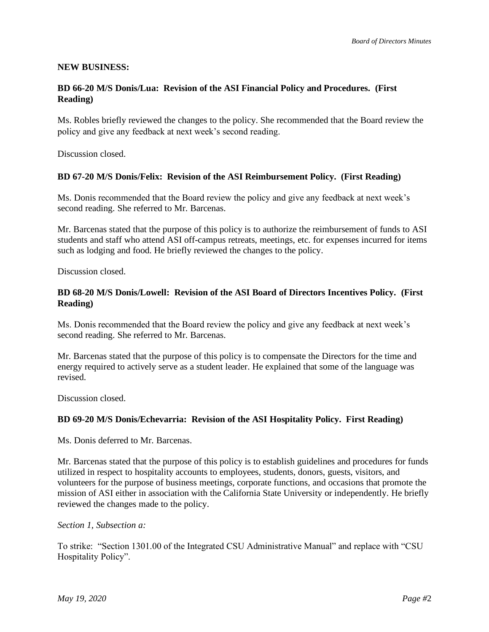# **NEW BUSINESS:**

# **BD 66-20 M/S Donis/Lua: Revision of the ASI Financial Policy and Procedures. (First Reading)**

Ms. Robles briefly reviewed the changes to the policy. She recommended that the Board review the policy and give any feedback at next week's second reading.

Discussion closed.

### **BD 67-20 M/S Donis/Felix: Revision of the ASI Reimbursement Policy. (First Reading)**

Ms. Donis recommended that the Board review the policy and give any feedback at next week's second reading. She referred to Mr. Barcenas.

Mr. Barcenas stated that the purpose of this policy is to authorize the reimbursement of funds to ASI students and staff who attend ASI off-campus retreats, meetings, etc. for expenses incurred for items such as lodging and food. He briefly reviewed the changes to the policy.

Discussion closed.

# **BD 68-20 M/S Donis/Lowell: Revision of the ASI Board of Directors Incentives Policy. (First Reading)**

Ms. Donis recommended that the Board review the policy and give any feedback at next week's second reading. She referred to Mr. Barcenas.

Mr. Barcenas stated that the purpose of this policy is to compensate the Directors for the time and energy required to actively serve as a student leader. He explained that some of the language was revised.

Discussion closed.

#### **BD 69-20 M/S Donis/Echevarria: Revision of the ASI Hospitality Policy. First Reading)**

Ms. Donis deferred to Mr. Barcenas.

Mr. Barcenas stated that the purpose of this policy is to establish guidelines and procedures for funds utilized in respect to hospitality accounts to employees, students, donors, guests, visitors, and volunteers for the purpose of business meetings, corporate functions, and occasions that promote the mission of ASI either in association with the California State University or independently. He briefly reviewed the changes made to the policy.

*Section 1, Subsection a:* 

To strike: "Section 1301.00 of the Integrated CSU Administrative Manual" and replace with "CSU Hospitality Policy".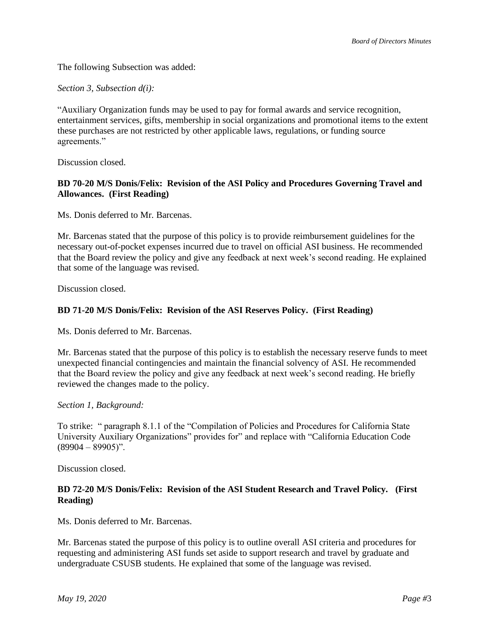The following Subsection was added:

### *Section 3, Subsection d(i):*

"Auxiliary Organization funds may be used to pay for formal awards and service recognition, entertainment services, gifts, membership in social organizations and promotional items to the extent these purchases are not restricted by other applicable laws, regulations, or funding source agreements."

Discussion closed.

# **BD 70-20 M/S Donis/Felix: Revision of the ASI Policy and Procedures Governing Travel and Allowances. (First Reading)**

Ms. Donis deferred to Mr. Barcenas.

Mr. Barcenas stated that the purpose of this policy is to provide reimbursement guidelines for the necessary out-of-pocket expenses incurred due to travel on official ASI business. He recommended that the Board review the policy and give any feedback at next week's second reading. He explained that some of the language was revised.

Discussion closed.

# **BD 71-20 M/S Donis/Felix: Revision of the ASI Reserves Policy. (First Reading)**

Ms. Donis deferred to Mr. Barcenas.

Mr. Barcenas stated that the purpose of this policy is to establish the necessary reserve funds to meet unexpected financial contingencies and maintain the financial solvency of ASI. He recommended that the Board review the policy and give any feedback at next week's second reading. He briefly reviewed the changes made to the policy.

#### *Section 1, Background:*

To strike: " paragraph 8.1.1 of the "Compilation of Policies and Procedures for California State University Auxiliary Organizations" provides for" and replace with "California Education Code  $(89904 - 89905)$ ".

Discussion closed.

# **BD 72-20 M/S Donis/Felix: Revision of the ASI Student Research and Travel Policy. (First Reading)**

Ms. Donis deferred to Mr. Barcenas.

Mr. Barcenas stated the purpose of this policy is to outline overall ASI criteria and procedures for requesting and administering ASI funds set aside to support research and travel by graduate and undergraduate CSUSB students. He explained that some of the language was revised.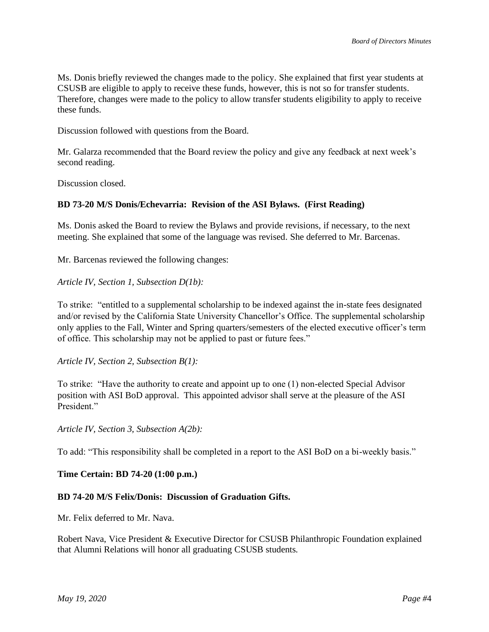Ms. Donis briefly reviewed the changes made to the policy. She explained that first year students at CSUSB are eligible to apply to receive these funds, however, this is not so for transfer students. Therefore, changes were made to the policy to allow transfer students eligibility to apply to receive these funds.

Discussion followed with questions from the Board.

Mr. Galarza recommended that the Board review the policy and give any feedback at next week's second reading.

Discussion closed.

# **BD 73-20 M/S Donis/Echevarria: Revision of the ASI Bylaws. (First Reading)**

Ms. Donis asked the Board to review the Bylaws and provide revisions, if necessary, to the next meeting. She explained that some of the language was revised. She deferred to Mr. Barcenas.

Mr. Barcenas reviewed the following changes:

*Article IV, Section 1, Subsection D(1b):*

To strike: "entitled to a supplemental scholarship to be indexed against the in-state fees designated and/or revised by the California State University Chancellor's Office. The supplemental scholarship only applies to the Fall, Winter and Spring quarters/semesters of the elected executive officer's term of office. This scholarship may not be applied to past or future fees."

*Article IV, Section 2, Subsection B(1):*

To strike: "Have the authority to create and appoint up to one (1) non-elected Special Advisor position with ASI BoD approval. This appointed advisor shall serve at the pleasure of the ASI President."

*Article IV, Section 3, Subsection A(2b):*

To add: "This responsibility shall be completed in a report to the ASI BoD on a bi-weekly basis."

#### **Time Certain: BD 74-20 (1:00 p.m.)**

### **BD 74-20 M/S Felix/Donis: Discussion of Graduation Gifts.**

Mr. Felix deferred to Mr. Nava.

Robert Nava, Vice President & Executive Director for CSUSB Philanthropic Foundation explained that Alumni Relations will honor all graduating CSUSB students.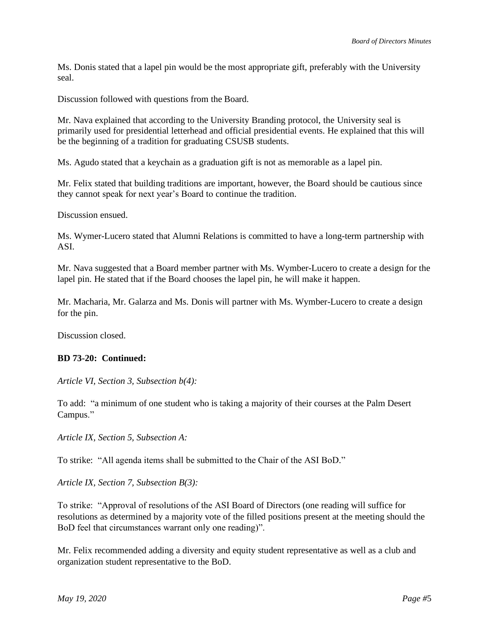Ms. Donis stated that a lapel pin would be the most appropriate gift, preferably with the University seal.

Discussion followed with questions from the Board.

Mr. Nava explained that according to the University Branding protocol, the University seal is primarily used for presidential letterhead and official presidential events. He explained that this will be the beginning of a tradition for graduating CSUSB students.

Ms. Agudo stated that a keychain as a graduation gift is not as memorable as a lapel pin.

Mr. Felix stated that building traditions are important, however, the Board should be cautious since they cannot speak for next year's Board to continue the tradition.

Discussion ensued.

Ms. Wymer-Lucero stated that Alumni Relations is committed to have a long-term partnership with ASI.

Mr. Nava suggested that a Board member partner with Ms. Wymber-Lucero to create a design for the lapel pin. He stated that if the Board chooses the lapel pin, he will make it happen.

Mr. Macharia, Mr. Galarza and Ms. Donis will partner with Ms. Wymber-Lucero to create a design for the pin.

Discussion closed.

#### **BD 73-20: Continued:**

*Article VI, Section 3, Subsection b(4):*

To add: "a minimum of one student who is taking a majority of their courses at the Palm Desert Campus."

*Article IX, Section 5, Subsection A:*

To strike: "All agenda items shall be submitted to the Chair of the ASI BoD."

*Article IX, Section 7, Subsection B(3):*

To strike: "Approval of resolutions of the ASI Board of Directors (one reading will suffice for resolutions as determined by a majority vote of the filled positions present at the meeting should the BoD feel that circumstances warrant only one reading)".

Mr. Felix recommended adding a diversity and equity student representative as well as a club and organization student representative to the BoD.